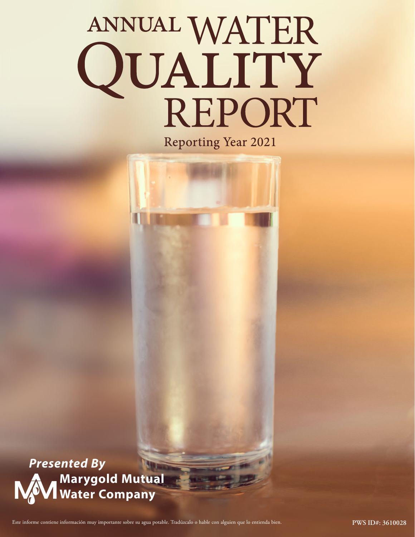# ANNUAL WATER<br>QUALITY<br>REPORT

**Reporting Year 2021** 

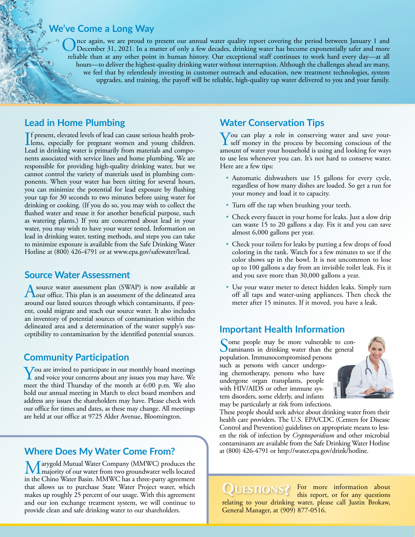# **We've Come a Long Way**

Once again, we are proud to present our annual water quality report covering the period between January 1 and<br>December 31, 2021. In a matter of only a few decades, drinking water has become exponentially safer and more<br>alt reliable than at any other point in human history. Our exceptional staff continues to work hard every day—at all hours—to deliver the highest-quality drinking water without interruption. Although the challenges ahead are many, we feel that by relentlessly investing in customer outreach and education, new treatment technologies, system upgrades, and training, the payoff will be reliable, high-quality tap water delivered to you and your family.

### **Lead in Home Plumbing**

If present, elevated levels of lead can cause serious health prob-<br>lems, especially for pregnant women and young children. f present, elevated levels of lead can cause serious health prob-Lead in drinking water is primarily from materials and components associated with service lines and home plumbing. We are responsible for providing high-quality drinking water, but we cannot control the variety of materials used in plumbing components. When your water has been sitting for several hours, you can minimize the potential for lead exposure by flushing your tap for 30 seconds to two minutes before using water for drinking or cooking. (If you do so, you may wish to collect the flushed water and reuse it for another beneficial purpose, such as watering plants.) If you are concerned about lead in your water, you may wish to have your water tested. Information on lead in drinking water, testing methods, and steps you can take to minimize exposure is available from the Safe Drinking Water Hotline at (800) 426-4791 or at [www.epa.gov/safewater/lead](http://www.epa.gov/safewater/lead).

### **Source Water Assessment**

A source water assessment plan (SWAP) is now available at  $\lambda$  our office. This plan is an assessment of the delineated area around our listed sources through which contaminants, if present, could migrate and reach our source water. It also includes an inventory of potential sources of contamination within the delineated area and a determination of the water supply's susceptibility to contamination by the identified potential sources.

### **Community Participation**

You are invited to participate in our monthly board meetings<br>and voice your concerns about any issues you may have. We meet the third Thursday of the month at 6:00 p.m. We also hold our annual meeting in March to elect board members and address any issues the shareholders may have. Please check with our office for times and dates, as these may change. All meetings are held at our office at 9725 Alder Avenue, Bloomington.

### **Where Does My Water Come From?**

Marygold Mutual Water Company (MMWC) produces the majority of our water from two groundwater wells located in the Chino Water Basin. MMWC has a three-party agreement that allows us to purchase State Water Project water, which makes up roughly 25 percent of our usage. With this agreement and our ion exchange treatment system, we will continue to provide clean and safe drinking water to our shareholders.

### **Water Conservation Tips**

You can play a role in conserving water and save yourself money in the process by becoming conscious of the amount of water your household is using and looking for ways to use less whenever you can. It's not hard to conserve water. Here are a few tips:

- Automatic dishwashers use 15 gallons for every cycle, regardless of how many dishes are loaded. So get a run for your money and load it to capacity.
- Turn off the tap when brushing your teeth.
- Check every faucet in your home for leaks. Just a slow drip can waste 15 to 20 gallons a day. Fix it and you can save almost 6,000 gallons per year.
- Check your toilets for leaks by putting a few drops of food coloring in the tank. Watch for a few minutes to see if the color shows up in the bowl. It is not uncommon to lose up to 100 gallons a day from an invisible toilet leak. Fix it and you save more than 30,000 gallons a year.
- Use your water meter to detect hidden leaks. Simply turn off all taps and water-using appliances. Then check the meter after 15 minutes. If it moved, you have a leak.

### **Important Health Information**

Some people may be more vulnerable to con-<br>taminants in drinking water than the general population. Immunocompromised persons such as persons with cancer undergoing chemotherapy, persons who have undergone organ transplants, people with HIV/AIDS or other immune system disorders, some elderly, and infants may be particularly at risk from infections.



These people should seek advice about drinking water from their health care providers. The U.S. EPA/CDC (Centers for Disease Control and Prevention) guidelines on appropriate means to lessen the risk of infection by *Cryptosporidium* and other microbial contaminants are available from the Safe Drinking Water Hotline at (800) 426-4791 or [http://water.epa.gov/drink/hotline.](http://water.epa.gov/drink/hotline)

**QUESTIONS?** For more information about this report, or for any questions this report, or for any questions relating to your drinking water, please call Justin Brokaw, General Manager, at (909) 877-0516.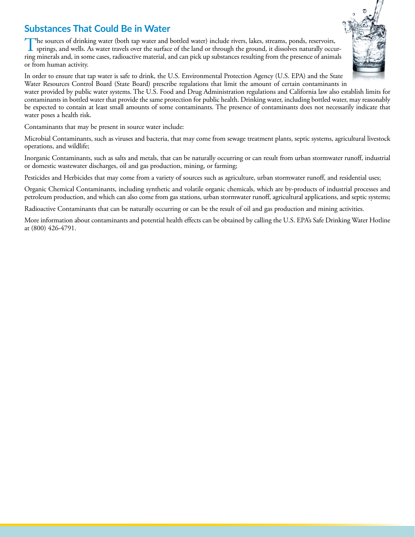## **Substances That Could Be in Water**

The sources of drinking water (both tap water and bottled water) include rivers, lakes, streams, ponds, reservoirs,<br>springs, and wells. As water travels over the surface of the land or through the ground, it dissolves natu ring minerals and, in some cases, radioactive material, and can pick up substances resulting from the presence of animals or from human activity.



In order to ensure that tap water is safe to drink, the U.S. Environmental Protection Agency (U.S. EPA) and the State Water Resources Control Board (State Board) prescribe regulations that limit the amount of certain contaminants in

water provided by public water systems. The U.S. Food and Drug Administration regulations and California law also establish limits for contaminants in bottled water that provide the same protection for public health. Drinking water, including bottled water, may reasonably be expected to contain at least small amounts of some contaminants. The presence of contaminants does not necessarily indicate that water poses a health risk.

Contaminants that may be present in source water include:

Microbial Contaminants, such as viruses and bacteria, that may come from sewage treatment plants, septic systems, agricultural livestock operations, and wildlife;

Inorganic Contaminants, such as salts and metals, that can be naturally occurring or can result from urban stormwater runoff, industrial or domestic wastewater discharges, oil and gas production, mining, or farming;

Pesticides and Herbicides that may come from a variety of sources such as agriculture, urban stormwater runoff, and residential uses;

Organic Chemical Contaminants, including synthetic and volatile organic chemicals, which are by-products of industrial processes and petroleum production, and which can also come from gas stations, urban stormwater runoff, agricultural applications, and septic systems;

Radioactive Contaminants that can be naturally occurring or can be the result of oil and gas production and mining activities.

More information about contaminants and potential health effects can be obtained by calling the U.S. EPA's Safe Drinking Water Hotline at (800) 426-4791.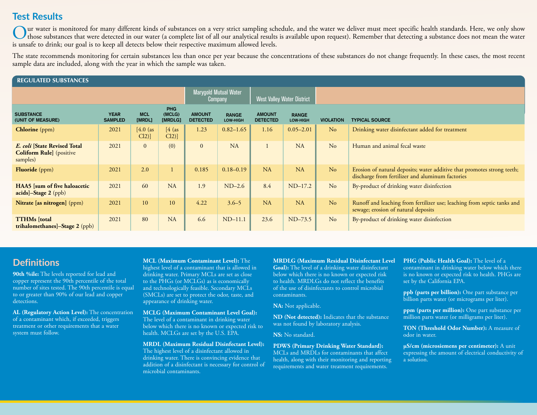### **Test Results**

Our water is monitored for many different kinds of substances on a very strict sampling schedule, and the water we deliver must meet specific health standards. Here, we only show<br>those substances that were detected in our is unsafe to drink; our goal is to keep all detects below their respective maximum allowed levels.

The state recommends monitoring for certain substances less than once per year because the concentrations of these substances do not change frequently. In these cases, the most recent sample data are included, along with the year in which the sample was taken.

| <b>REGULATED SUBSTANCES</b>                                                   |                                  |                      |                                   |                                  |                          |                                                              |               |                  |                                                                                                                             |  |
|-------------------------------------------------------------------------------|----------------------------------|----------------------|-----------------------------------|----------------------------------|--------------------------|--------------------------------------------------------------|---------------|------------------|-----------------------------------------------------------------------------------------------------------------------------|--|
|                                                                               | Marygold Mutual Water<br>Company |                      | <b>West Valley Water District</b> |                                  |                          |                                                              |               |                  |                                                                                                                             |  |
| <b>SUBSTANCE</b><br>(UNIT OF MEASURE)                                         | <b>YEAR</b><br><b>SAMPLED</b>    | <b>MCL</b><br>[MRDL] | PHG<br>(MCLG)<br>[MRDLG]          | <b>AMOUNT</b><br><b>DETECTED</b> | <b>RANGE</b><br>LOW-HIGH | <b>AMOUNT</b><br><b>RANGE</b><br><b>DETECTED</b><br>LOW-HIGH |               | <b>VIOLATION</b> | <b>TYPICAL SOURCE</b>                                                                                                       |  |
| <b>Chlorine</b> (ppm)                                                         | 2021                             | [4.0 (as<br>$Cl2$ ]  | [4 (as<br>$Cl2$ ]                 | 1.23                             | $0.82 - 1.65$            | 1.16                                                         | $0.05 - 2.01$ | No               | Drinking water disinfectant added for treatment                                                                             |  |
| E. coli [State Revised Total]<br><b>Coliform Rule</b> ] (positive<br>samples) | 2021                             | $\overline{0}$       | (0)                               | $\overline{0}$                   | NA                       |                                                              | <b>NA</b>     | No               | Human and animal fecal waste                                                                                                |  |
| <b>Fluoride</b> (ppm)                                                         | 2021                             | 2.0                  |                                   | 0.185                            | $0.18 - 0.19$            | <b>NA</b>                                                    | NA            | No               | Erosion of natural deposits; water additive that promotes strong teeth;<br>discharge from fertilizer and aluminum factories |  |
| <b>HAA5</b> [sum of five haloacetic<br>acids]-Stage 2 (ppb)                   | 2021                             | 60                   | <b>NA</b>                         | 1.9                              | $ND-2.6$                 | 8.4                                                          | $ND-17.2$     | No               | By-product of drinking water disinfection                                                                                   |  |
| Nitrate [as nitrogen] (ppm)                                                   | 2021                             | 10                   | 10                                | 4.22                             | $3.6 - 5$                | <b>NA</b>                                                    | NA            | No               | Runoff and leaching from fertilizer use; leaching from septic tanks and<br>sewage; erosion of natural deposits              |  |
| <b>TTHMs</b> [total]<br><b>trihalomethanes</b> ]-Stage 2 (ppb)                | 2021                             | 80                   | <b>NA</b>                         | 6.6                              | $ND-11.1$                | 23.6                                                         | $ND-73.5$     | No               | By-product of drinking water disinfection                                                                                   |  |

### **Definitions**

**90th %ile:** The levels reported for lead and copper represent the 90th percentile of the total number of sites tested. The 90th percentile is equal to or greater than 90% of our lead and copper detections.

**AL (Regulatory Action Level):** The concentration of a contaminant which, if exceeded, triggers treatment or other requirements that a water system must follow.

**MCL (Maximum Contaminant Level):** The highest level of a contaminant that is allowed in drinking water. Primary MCLs are set as close to the PHGs (or MCLGs) as is economically and technologically feasible. Secondary MCLs (SMCLs) are set to protect the odor, taste, and appearance of drinking water.

**MCLG (Maximum Contaminant Level Goal):** The level of a contaminant in drinking water below which there is no known or expected risk to health. MCLGs are set by the U.S. EPA.

**MRDL (Maximum Residual Disinfectant Level):** The highest level of a disinfectant allowed in drinking water. There is convincing evidence that addition of a disinfectant is necessary for control of microbial contaminants.

**MRDLG (Maximum Residual Disinfectant Level Goal):** The level of a drinking water disinfectant below which there is no known or expected risk to health. MRDLGs do not reflect the benefits of the use of disinfectants to control microbial contaminants.

**NA:** Not applicable.

**ND (Not detected):** Indicates that the substance was not found by laboratory analysis.

**NS:** No standard.

### **PDWS (Primary Drinking Water Standard):**

MCLs and MRDLs for contaminants that affect health, along with their monitoring and reporting requirements and water treatment requirements.

**PHG (Public Health Goal):** The level of a

contaminant in drinking water below which there is no known or expected risk to health. PHGs are set by the California EPA.

**ppb (parts per billion):** One part substance per billion parts water (or micrograms per liter).

**ppm (parts per million):** One part substance per million parts water (or milligrams per liter).

**TON (Threshold Odor Number):** A measure of odor in water.

**µS/cm (microsiemens per centimeter):** A unit expressing the amount of electrical conductivity of a solution.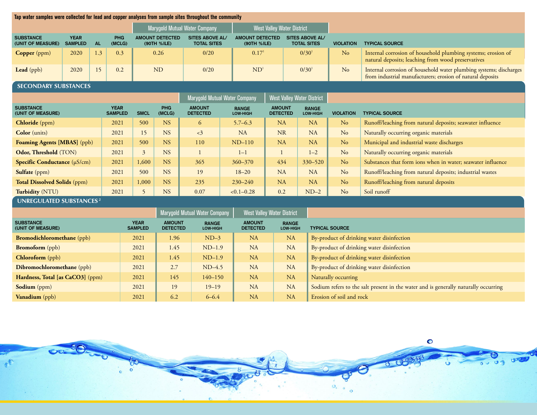| Tap water samples were collected for lead and copper analyses from sample sites throughout the community |                                                             |                                   |             |                |                                       |                                              |                                       |                                       |                                   |                                              |                                                             |                                                                                                                                  |  |
|----------------------------------------------------------------------------------------------------------|-------------------------------------------------------------|-----------------------------------|-------------|----------------|---------------------------------------|----------------------------------------------|---------------------------------------|---------------------------------------|-----------------------------------|----------------------------------------------|-------------------------------------------------------------|----------------------------------------------------------------------------------------------------------------------------------|--|
|                                                                                                          |                                                             |                                   |             |                |                                       | Marygold Mutual Water Company                |                                       | <b>West Valley Water District</b>     |                                   |                                              |                                                             |                                                                                                                                  |  |
| <b>SUBSTANCE</b><br>(UNIT OF MEASURE)                                                                    | <b>YEAR</b><br><b>SAMPLED</b>                               | <b>PHG</b><br><b>AL</b><br>(MCLG) |             |                | <b>AMOUNT DETECTED</b><br>(90TH %ILE) | <b>SITES ABOVE AL/</b><br><b>TOTAL SITES</b> |                                       | <b>AMOUNT DETECTED</b><br>(90TH %ILE) |                                   | <b>SITES ABOVE AL/</b><br><b>TOTAL SITES</b> | <b>VIOLATION</b>                                            | <b>TYPICAL SOURCE</b>                                                                                                            |  |
| <b>Copper</b> (ppm)                                                                                      | 2020                                                        | 1.3                               | 0.3         | 0.26           |                                       | 0/20                                         |                                       | 0.17 <sup>1</sup>                     |                                   | 0/30 <sup>1</sup>                            | N <sub>o</sub>                                              | Internal corrosion of household plumbing systems; erosion of<br>natural deposits; leaching from wood preservatives               |  |
| Lead (ppb)                                                                                               | 2020                                                        | 15                                | 0.2         |                | N <sub>D</sub>                        | 0/20                                         | ND <sup>1</sup>                       |                                       |                                   | $0/30^{1}$                                   | No                                                          | Internal corrosion of household water plumbing systems; discharges<br>from industrial manufacturers; erosion of natural deposits |  |
| <b>SECONDARY SUBSTANCES</b>                                                                              |                                                             |                                   |             |                |                                       |                                              |                                       |                                       |                                   |                                              |                                                             |                                                                                                                                  |  |
|                                                                                                          |                                                             |                                   |             |                | <b>Marygold Mutual Water Company</b>  |                                              |                                       |                                       | <b>West Valley Water District</b> |                                              |                                                             |                                                                                                                                  |  |
| <b>SUBSTANCE</b><br><b>YEAR</b><br>(UNIT OF MEASURE)                                                     |                                                             | <b>SAMPLED</b>                    | <b>SMCL</b> | PHG<br>(MCLG)  | <b>AMOUNT</b><br><b>DETECTED</b>      | <b>RANGE</b><br><b>LOW-HIGH</b>              |                                       | <b>AMOUNT</b><br><b>DETECTED</b>      | <b>RANGE</b><br>LOW-HIGH          | <b>VIOLATION</b>                             | <b>TYPICAL SOURCE</b>                                       |                                                                                                                                  |  |
| <b>Chloride</b> (ppm)                                                                                    |                                                             |                                   | 2021        | 500            | <b>NS</b>                             | 6                                            | $5.7 - 6.3$                           |                                       | NA                                | <b>NA</b>                                    | N <sub>o</sub>                                              | Runoff/leaching from natural deposits; seawater influence                                                                        |  |
| Color (units)                                                                                            |                                                             |                                   | 2021        | 15             | <b>NS</b>                             | $\langle 3 \rangle$                          | NA                                    |                                       | <b>NR</b>                         | NA                                           | No                                                          | Naturally occurring organic materials                                                                                            |  |
| Foaming Agents [MBAS] (ppb)                                                                              |                                                             |                                   | 2021        | 500            | <b>NS</b>                             | 110                                          | $ND-110$                              |                                       | NA                                | NA                                           | N <sub>o</sub><br>Municipal and industrial waste discharges |                                                                                                                                  |  |
| Odor, Threshold (TON)                                                                                    |                                                             | <b>NS</b><br>2021<br>3<br>$1 - 1$ |             |                | $1 - 2$                               | No                                           | Naturally occurring organic materials |                                       |                                   |                                              |                                                             |                                                                                                                                  |  |
| Specific Conductance (µS/cm)                                                                             |                                                             |                                   | 2021        | 1,600          | <b>NS</b>                             | 365                                          | 360-370                               |                                       | 434                               | 330-520                                      | No                                                          | Substances that form ions when in water; seawater influence                                                                      |  |
| Sulfate (ppm)                                                                                            |                                                             |                                   | 2021        | 500            | <b>NS</b>                             | 19                                           | $18 - 20$                             |                                       | <b>NA</b>                         | <b>NA</b>                                    | No                                                          | Runoff/leaching from natural deposits; industrial wastes                                                                         |  |
| <b>Total Dissolved Solids (ppm)</b>                                                                      |                                                             |                                   | 2021        | 1,000          | NS                                    | 235                                          | $230 - 240$                           |                                       | NA                                | NA                                           | N <sub>o</sub>                                              | Runoff/leaching from natural deposits                                                                                            |  |
| Turbidity (NTU)                                                                                          |                                                             |                                   | 2021        | $\overline{5}$ | <b>NS</b>                             | 0.07                                         | $< 0.1 - 0.28$                        |                                       | 0.2                               | $ND-2$                                       | No                                                          | Soil runoff                                                                                                                      |  |
| <b>UNREGULATED SUBSTANCES<sup>2</sup></b>                                                                |                                                             |                                   |             |                |                                       |                                              |                                       |                                       |                                   |                                              |                                                             |                                                                                                                                  |  |
|                                                                                                          | Maryonld Mutual Water Company<br>West Valley Water District |                                   |             |                |                                       |                                              |                                       |                                       |                                   |                                              |                                                             |                                                                                                                                  |  |

|                                       |                               | Marygold Mutual Water Company    | West Valley Water District      |                                  |                                 |                                                                                     |
|---------------------------------------|-------------------------------|----------------------------------|---------------------------------|----------------------------------|---------------------------------|-------------------------------------------------------------------------------------|
| <b>SUBSTANCE</b><br>(UNIT OF MEASURE) | <b>YEAR</b><br><b>SAMPLED</b> | <b>AMOUNT</b><br><b>DETECTED</b> | <b>RANGE</b><br><b>LOW-HIGH</b> | <b>AMOUNT</b><br><b>DETECTED</b> | <b>RANGE</b><br><b>LOW-HIGH</b> | <b>TYPICAL SOURCE</b>                                                               |
| <b>Bromodichloromethane</b> (ppb)     | 2021                          | 1.96                             | $ND-3$                          | NA                               | <b>NA</b>                       | By-product of drinking water disinfection                                           |
| <b>Bromoform</b> (ppb)                | 2021                          | 1.45                             | $ND-1.9$                        | <b>NA</b>                        | <b>NA</b>                       | By-product of drinking water disinfection                                           |
| <b>Chloroform</b> (ppb)               | 2021                          | 1.45                             | $ND-1.9$                        | NA                               | <b>NA</b>                       | By-product of drinking water disinfection                                           |
| <b>Dibromochloromethane</b> (ppb)     | 2021                          | 2.7                              | $ND-4.5$                        | <b>NA</b>                        | <b>NA</b>                       | By-product of drinking water disinfection                                           |
| Hardness, Total [as CaCO3] (ppm)      | 2021                          | 145                              | $140 - 150$                     | <b>NA</b>                        | <b>NA</b>                       | Naturally occurring                                                                 |
| Sodium (ppm)                          | 2021                          | 19                               | $19 - 19$                       | NA                               | <b>NA</b>                       | Sodium refers to the salt present in the water and is generally naturally occurring |
| Vanadium (ppb)                        | 2021                          | 6.2                              | $6 - 6.4$                       | <b>NA</b>                        | <b>NA</b>                       | Erosion of soil and rock                                                            |